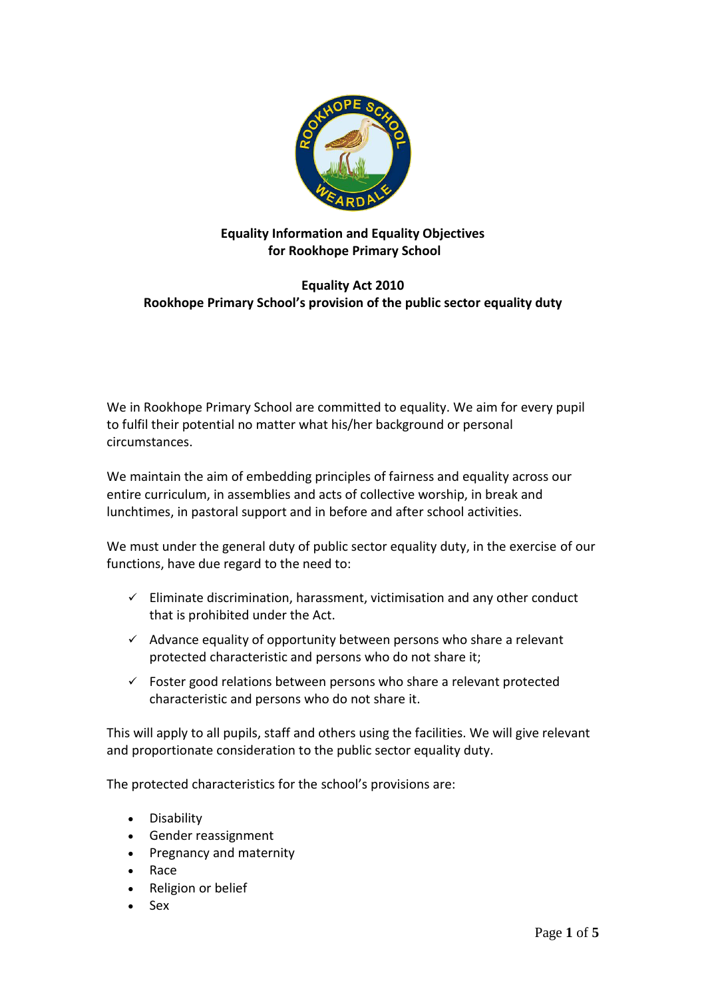

### **Equality Information and Equality Objectives for Rookhope Primary School**

# **Equality Act 2010 Rookhope Primary School's provision of the public sector equality duty**

We in Rookhope Primary School are committed to equality. We aim for every pupil to fulfil their potential no matter what his/her background or personal circumstances.

We maintain the aim of embedding principles of fairness and equality across our entire curriculum, in assemblies and acts of collective worship, in break and lunchtimes, in pastoral support and in before and after school activities.

We must under the general duty of public sector equality duty, in the exercise of our functions, have due regard to the need to:

- $\checkmark$  Eliminate discrimination, harassment, victimisation and any other conduct that is prohibited under the Act.
- $\checkmark$  Advance equality of opportunity between persons who share a relevant protected characteristic and persons who do not share it;
- $\checkmark$  Foster good relations between persons who share a relevant protected characteristic and persons who do not share it.

This will apply to all pupils, staff and others using the facilities. We will give relevant and proportionate consideration to the public sector equality duty.

The protected characteristics for the school's provisions are:

- Disability
- Gender reassignment
- Pregnancy and maternity
- Race
- Religion or belief
- Sex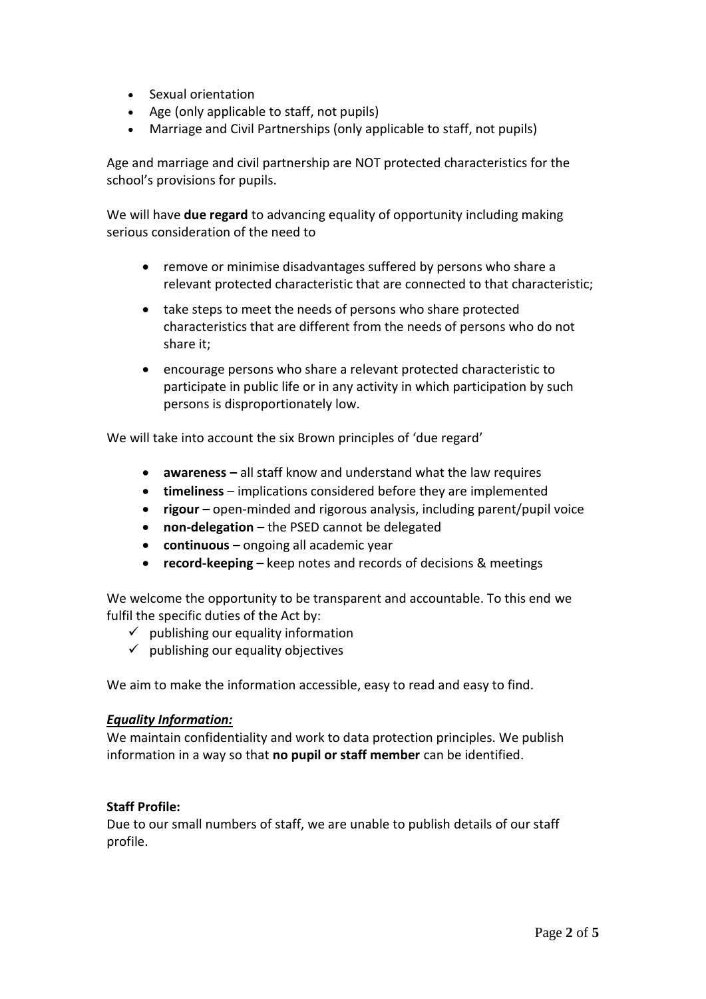- Sexual orientation
- Age (only applicable to staff, not pupils)
- Marriage and Civil Partnerships (only applicable to staff, not pupils)

Age and marriage and civil partnership are NOT protected characteristics for the school's provisions for pupils.

We will have **due regard** to advancing equality of opportunity including making serious consideration of the need to

- remove or minimise disadvantages suffered by persons who share a relevant protected characteristic that are connected to that characteristic;
- take steps to meet the needs of persons who share protected characteristics that are different from the needs of persons who do not share it;
- encourage persons who share a relevant protected characteristic to participate in public life or in any activity in which participation by such persons is disproportionately low.

We will take into account the six Brown principles of 'due regard'

- **awareness –** all staff know and understand what the law requires
- **timeliness**  implications considered before they are implemented
- **rigour –** open-minded and rigorous analysis, including parent/pupil voice
- **non-delegation –** the PSED cannot be delegated
- **continuous –** ongoing all academic year
- **•** record-keeping keep notes and records of decisions & meetings

We welcome the opportunity to be transparent and accountable. To this end we fulfil the specific duties of the Act by:

- $\checkmark$  publishing our equality information
- $\checkmark$  publishing our equality objectives

We aim to make the information accessible, easy to read and easy to find.

#### *Equality Information:*

We maintain confidentiality and work to data protection principles. We publish information in a way so that **no pupil or staff member** can be identified.

## **Staff Profile:**

Due to our small numbers of staff, we are unable to publish details of our staff profile.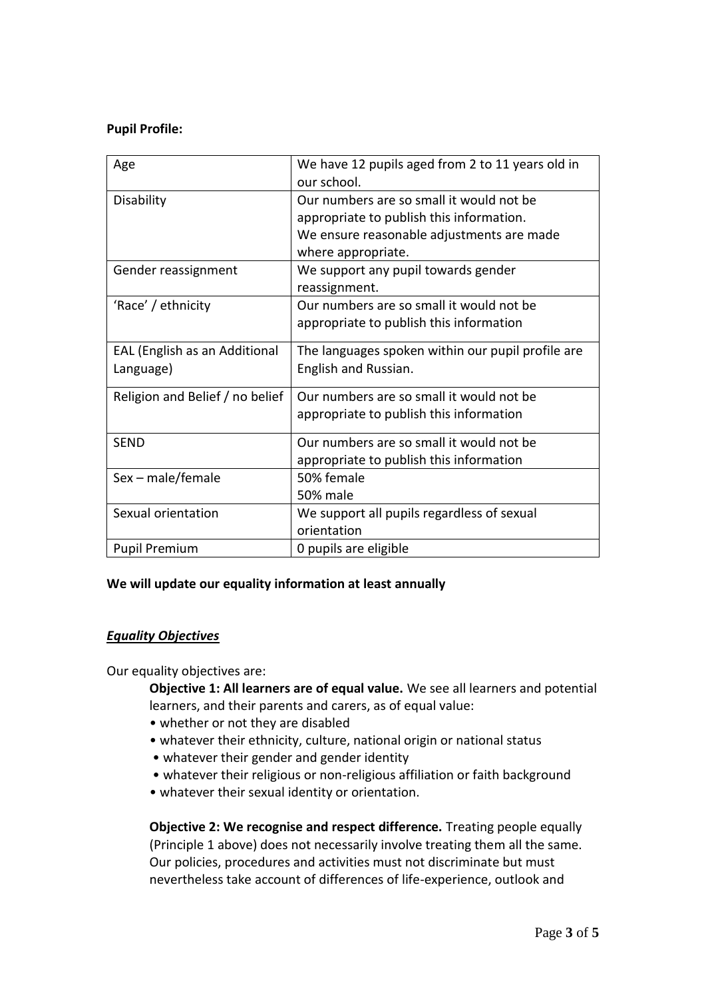### **Pupil Profile:**

| Age                             | We have 12 pupils aged from 2 to 11 years old in  |
|---------------------------------|---------------------------------------------------|
|                                 | our school.                                       |
| Disability                      | Our numbers are so small it would not be          |
|                                 | appropriate to publish this information.          |
|                                 | We ensure reasonable adjustments are made         |
|                                 | where appropriate.                                |
| Gender reassignment             | We support any pupil towards gender               |
|                                 | reassignment.                                     |
| 'Race' / ethnicity              | Our numbers are so small it would not be          |
|                                 | appropriate to publish this information           |
| EAL (English as an Additional   | The languages spoken within our pupil profile are |
| Language)                       | English and Russian.                              |
|                                 |                                                   |
| Religion and Belief / no belief | Our numbers are so small it would not be          |
|                                 | appropriate to publish this information           |
| <b>SEND</b>                     | Our numbers are so small it would not be          |
|                                 | appropriate to publish this information           |
| Sex - male/female               | 50% female                                        |
|                                 | 50% male                                          |
| Sexual orientation              | We support all pupils regardless of sexual        |
|                                 | orientation                                       |
| <b>Pupil Premium</b>            | 0 pupils are eligible                             |

#### **We will update our equality information at least annually**

#### *Equality Objectives*

Our equality objectives are:

**Objective 1: All learners are of equal value.** We see all learners and potential learners, and their parents and carers, as of equal value:

- whether or not they are disabled
- whatever their ethnicity, culture, national origin or national status
- whatever their gender and gender identity
- whatever their religious or non-religious affiliation or faith background
- whatever their sexual identity or orientation.

**Objective 2: We recognise and respect difference.** Treating people equally (Principle 1 above) does not necessarily involve treating them all the same. Our policies, procedures and activities must not discriminate but must nevertheless take account of differences of life-experience, outlook and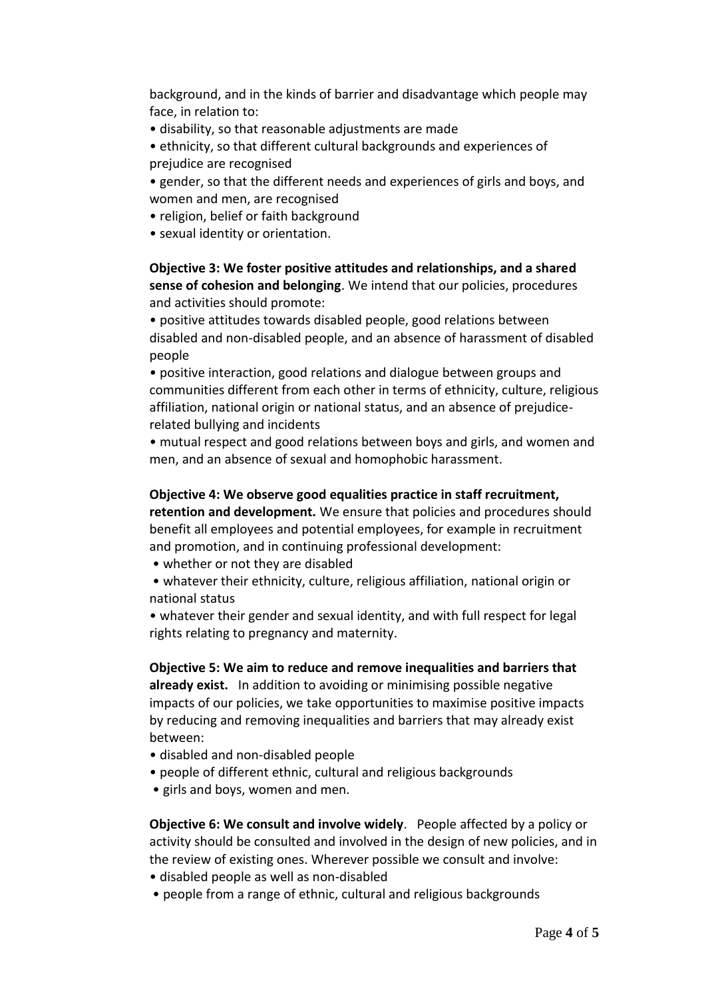background, and in the kinds of barrier and disadvantage which people may face, in relation to:

• disability, so that reasonable adjustments are made

• ethnicity, so that different cultural backgrounds and experiences of prejudice are recognised

• gender, so that the different needs and experiences of girls and boys, and women and men, are recognised

• religion, belief or faith background

• sexual identity or orientation.

## **Objective 3: We foster positive attitudes and relationships, and a shared sense of cohesion and belonging**. We intend that our policies, procedures and activities should promote:

• positive attitudes towards disabled people, good relations between disabled and non-disabled people, and an absence of harassment of disabled people

• positive interaction, good relations and dialogue between groups and communities different from each other in terms of ethnicity, culture, religious affiliation, national origin or national status, and an absence of prejudicerelated bullying and incidents

• mutual respect and good relations between boys and girls, and women and men, and an absence of sexual and homophobic harassment.

### **Objective 4: We observe good equalities practice in staff recruitment,**

**retention and development.** We ensure that policies and procedures should benefit all employees and potential employees, for example in recruitment and promotion, and in continuing professional development:

• whether or not they are disabled

• whatever their ethnicity, culture, religious affiliation, national origin or national status

• whatever their gender and sexual identity, and with full respect for legal rights relating to pregnancy and maternity.

**Objective 5: We aim to reduce and remove inequalities and barriers that already exist.** In addition to avoiding or minimising possible negative impacts of our policies, we take opportunities to maximise positive impacts by reducing and removing inequalities and barriers that may already exist between:

- disabled and non-disabled people
- people of different ethnic, cultural and religious backgrounds
- girls and boys, women and men.

**Objective 6: We consult and involve widely**. People affected by a policy or activity should be consulted and involved in the design of new policies, and in the review of existing ones. Wherever possible we consult and involve:

- disabled people as well as non-disabled
- people from a range of ethnic, cultural and religious backgrounds